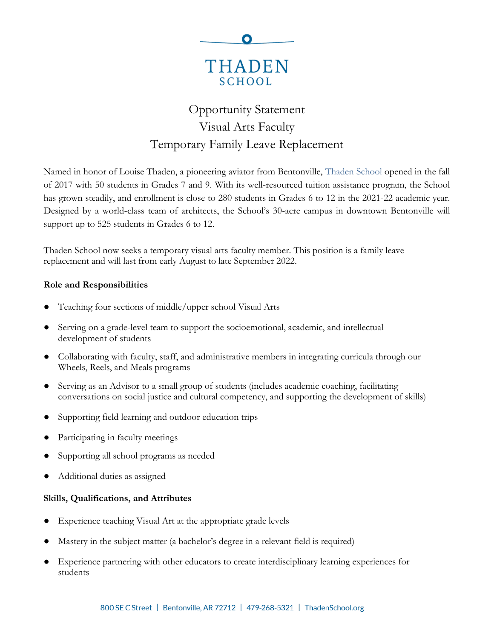

# Opportunity Statement Visual Arts Faculty Temporary Family Leave Replacement

Named in honor of Louise Thaden, a pioneering aviator from Bentonville, [Thaden School](https://thadenschool.org/) opened in the fall of 2017 with 50 students in Grades 7 and 9. With its well-resourced tuition assistance program, the School has grown steadily, and enrollment is close to 280 students in Grades 6 to 12 in the 2021-22 academic year. Designed by a world-class team of architects, the School's 30-acre campus in downtown Bentonville will support up to 525 students in Grades 6 to 12.

Thaden School now seeks a temporary visual arts faculty member. This position is a family leave replacement and will last from early August to late September 2022.

## **Role and Responsibilities**

- Teaching four sections of middle/upper school Visual Arts
- Serving on a grade-level team to support the socioemotional, academic, and intellectual development of students
- Collaborating with faculty, staff, and administrative members in integrating curricula through our Wheels, Reels, and Meals programs
- Serving as an Advisor to a small group of students (includes academic coaching, facilitating conversations on social justice and cultural competency, and supporting the development of skills)
- Supporting field learning and outdoor education trips
- Participating in faculty meetings
- Supporting all school programs as needed
- Additional duties as assigned

## **Skills, Qualifications, and Attributes**

- Experience teaching Visual Art at the appropriate grade levels
- Mastery in the subject matter (a bachelor's degree in a relevant field is required)
- Experience partnering with other educators to create interdisciplinary learning experiences for students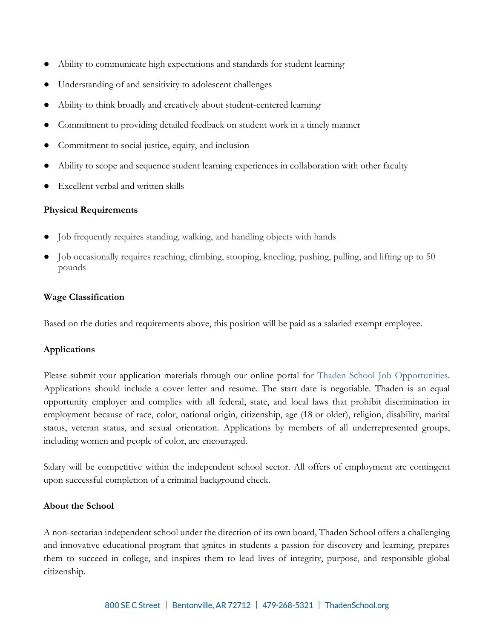- Ability to communicate high expectations and standards for student learning
- Understanding of and sensitivity to adolescent challenges
- Ability to think broadly and creatively about student-centered learning
- Commitment to providing detailed feedback on student work in a timely manner
- Commitment to social justice, equity, and inclusion
- Ability to scope and sequence student learning experiences in collaboration with other faculty
- Excellent verbal and written skills

## **Physical Requirements**

- Job frequently requires standing, walking, and handling objects with hands
- Job occasionally requires reaching, climbing, stooping, kneeling, pushing, pulling, and lifting up to 50 pounds

#### **Wage Classification**

Based on the duties and requirements above, this position will be paid as a salaried exempt employee.

## **Applications**

Please submit your application materials through our online portal for [Thaden School Job Opportunities.](https://www.paycomonline.net/v4/ats/web.php/jobs?clientkey=E412B6EED165D3FD16DB0FF91E74B10C&session_nonce=915852c58367eb064b1ae3ce5464ff79) Applications should include a cover letter and resume. The start date is negotiable. Thaden is an equal opportunity employer and complies with all federal, state, and local laws that prohibit discrimination in employment because of race, color, national origin, citizenship, age (18 or older), religion, disability, marital status, veteran status, and sexual orientation. Applications by members of all underrepresented groups, including women and people of color, are encouraged.

Salary will be competitive within the independent school sector. All offers of employment are contingent upon successful completion of a criminal background check.

#### **About the School**

A non-sectarian independent school under the direction of its own board, Thaden School offers a challenging and innovative educational program that ignites in students a passion for discovery and learning, prepares them to succeed in college, and inspires them to lead lives of integrity, purpose, and responsible global citizenship.